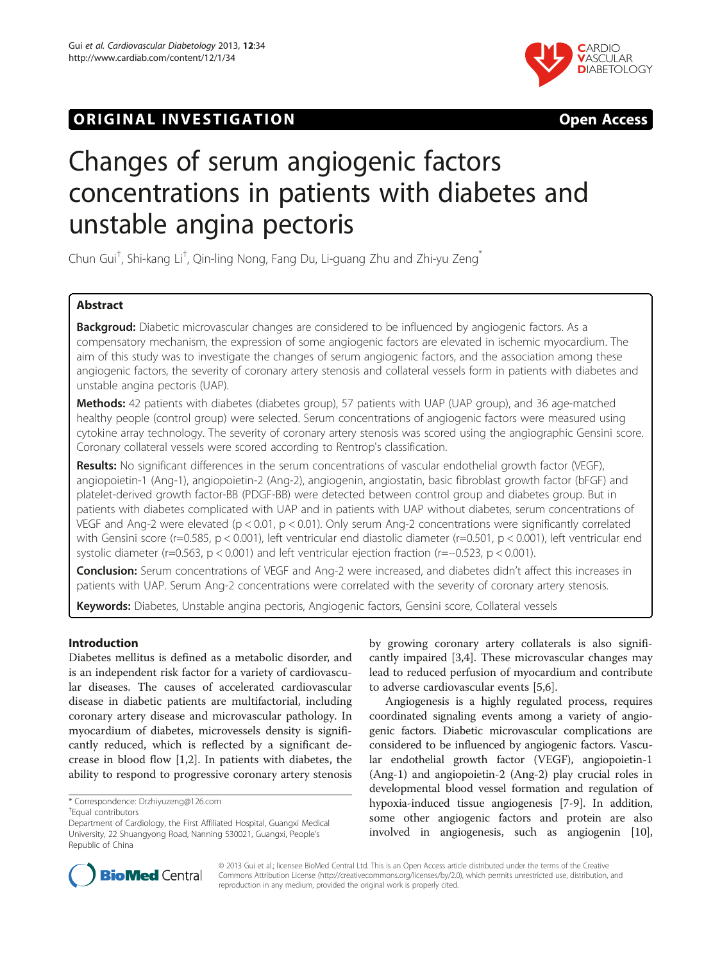# **ORIGINAL INVESTIGATION CONSUMING THE SERVICE SERVICES**



# Changes of serum angiogenic factors concentrations in patients with diabetes and unstable angina pectoris

Chun Gui<sup>t</sup>, Shi-kang Li<sup>t</sup>, Qin-ling Nong, Fang Du, Li-guang Zhu and Zhi-yu Zeng<sup>\*</sup>

# Abstract

Backgroud: Diabetic microvascular changes are considered to be influenced by angiogenic factors. As a compensatory mechanism, the expression of some angiogenic factors are elevated in ischemic myocardium. The aim of this study was to investigate the changes of serum angiogenic factors, and the association among these angiogenic factors, the severity of coronary artery stenosis and collateral vessels form in patients with diabetes and unstable angina pectoris (UAP).

Methods: 42 patients with diabetes (diabetes group), 57 patients with UAP (UAP group), and 36 age-matched healthy people (control group) were selected. Serum concentrations of angiogenic factors were measured using cytokine array technology. The severity of coronary artery stenosis was scored using the angiographic Gensini score. Coronary collateral vessels were scored according to Rentrop's classification.

Results: No significant differences in the serum concentrations of vascular endothelial growth factor (VEGF), angiopoietin-1 (Ang-1), angiopoietin-2 (Ang-2), angiogenin, angiostatin, basic fibroblast growth factor (bFGF) and platelet-derived growth factor-BB (PDGF-BB) were detected between control group and diabetes group. But in patients with diabetes complicated with UAP and in patients with UAP without diabetes, serum concentrations of VEGF and Ang-2 were elevated ( $p < 0.01$ ,  $p < 0.01$ ). Only serum Ang-2 concentrations were significantly correlated with Gensini score (r=0.585, p < 0.001), left ventricular end diastolic diameter (r=0.501, p < 0.001), left ventricular end systolic diameter (r=0.563, p < 0.001) and left ventricular ejection fraction (r=−0.523, p < 0.001).

Conclusion: Serum concentrations of VEGF and Ang-2 were increased, and diabetes didn't affect this increases in patients with UAP. Serum Ang-2 concentrations were correlated with the severity of coronary artery stenosis.

Keywords: Diabetes, Unstable angina pectoris, Angiogenic factors, Gensini score, Collateral vessels

# Introduction

Diabetes mellitus is defined as a metabolic disorder, and is an independent risk factor for a variety of cardiovascular diseases. The causes of accelerated cardiovascular disease in diabetic patients are multifactorial, including coronary artery disease and microvascular pathology. In myocardium of diabetes, microvessels density is significantly reduced, which is reflected by a significant decrease in blood flow [\[1,2\]](#page-6-0). In patients with diabetes, the ability to respond to progressive coronary artery stenosis

\* Correspondence: [Drzhiyuzeng@126.com](mailto:Drzhiyuzeng@126.com) †

Equal contributors

by growing coronary artery collaterals is also significantly impaired [[3,4\]](#page-6-0). These microvascular changes may lead to reduced perfusion of myocardium and contribute to adverse cardiovascular events [[5,6\]](#page-6-0).

Angiogenesis is a highly regulated process, requires coordinated signaling events among a variety of angiogenic factors. Diabetic microvascular complications are considered to be influenced by angiogenic factors. Vascular endothelial growth factor (VEGF), angiopoietin-1 (Ang-1) and angiopoietin-2 (Ang-2) play crucial roles in developmental blood vessel formation and regulation of hypoxia-induced tissue angiogenesis [[7-9](#page-6-0)]. In addition, some other angiogenic factors and protein are also involved in angiogenesis, such as angiogenin [[10](#page-6-0)],



© 2013 Gui et al.; licensee BioMed Central Ltd. This is an Open Access article distributed under the terms of the Creative Commons Attribution License [\(http://creativecommons.org/licenses/by/2.0\)](http://creativecommons.org/licenses/by/2.0), which permits unrestricted use, distribution, and reproduction in any medium, provided the original work is properly cited.

Department of Cardiology, the First Affiliated Hospital, Guangxi Medical University, 22 Shuangyong Road, Nanning 530021, Guangxi, People's Republic of China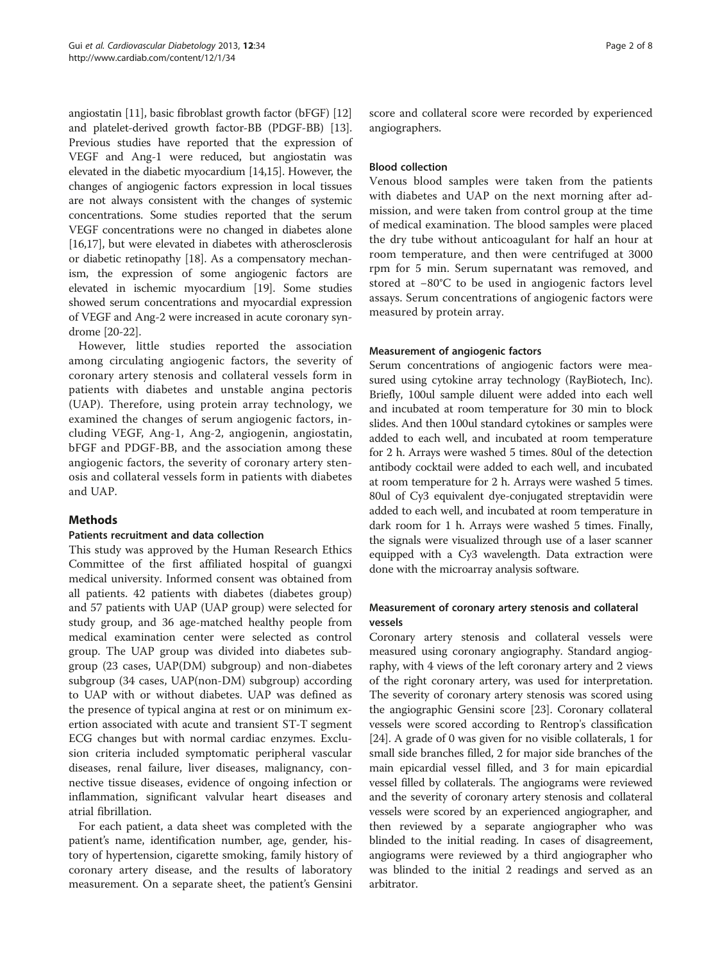angiostatin [\[11\]](#page-6-0), basic fibroblast growth factor (bFGF) [[12](#page-6-0)] and platelet-derived growth factor-BB (PDGF-BB) [[13](#page-6-0)]. Previous studies have reported that the expression of VEGF and Ang-1 were reduced, but angiostatin was elevated in the diabetic myocardium [\[14,15\]](#page-6-0). However, the changes of angiogenic factors expression in local tissues are not always consistent with the changes of systemic concentrations. Some studies reported that the serum VEGF concentrations were no changed in diabetes alone [[16,17](#page-7-0)], but were elevated in diabetes with atherosclerosis or diabetic retinopathy [[18](#page-7-0)]. As a compensatory mechanism, the expression of some angiogenic factors are elevated in ischemic myocardium [\[19\]](#page-7-0). Some studies showed serum concentrations and myocardial expression of VEGF and Ang-2 were increased in acute coronary syndrome [[20](#page-7-0)-[22](#page-7-0)].

However, little studies reported the association among circulating angiogenic factors, the severity of coronary artery stenosis and collateral vessels form in patients with diabetes and unstable angina pectoris (UAP). Therefore, using protein array technology, we examined the changes of serum angiogenic factors, including VEGF, Ang-1, Ang-2, angiogenin, angiostatin, bFGF and PDGF-BB, and the association among these angiogenic factors, the severity of coronary artery stenosis and collateral vessels form in patients with diabetes and UAP.

# Methods

# Patients recruitment and data collection

This study was approved by the Human Research Ethics Committee of the first affiliated hospital of guangxi medical university. Informed consent was obtained from all patients. 42 patients with diabetes (diabetes group) and 57 patients with UAP (UAP group) were selected for study group, and 36 age-matched healthy people from medical examination center were selected as control group. The UAP group was divided into diabetes subgroup (23 cases, UAP(DM) subgroup) and non-diabetes subgroup (34 cases, UAP(non-DM) subgroup) according to UAP with or without diabetes. UAP was defined as the presence of typical angina at rest or on minimum exertion associated with acute and transient ST-T segment ECG changes but with normal cardiac enzymes. Exclusion criteria included symptomatic peripheral vascular diseases, renal failure, liver diseases, malignancy, connective tissue diseases, evidence of ongoing infection or inflammation, significant valvular heart diseases and atrial fibrillation.

For each patient, a data sheet was completed with the patient's name, identification number, age, gender, history of hypertension, cigarette smoking, family history of coronary artery disease, and the results of laboratory measurement. On a separate sheet, the patient's Gensini score and collateral score were recorded by experienced angiographers.

# Blood collection

Venous blood samples were taken from the patients with diabetes and UAP on the next morning after admission, and were taken from control group at the time of medical examination. The blood samples were placed the dry tube without anticoagulant for half an hour at room temperature, and then were centrifuged at 3000 rpm for 5 min. Serum supernatant was removed, and stored at −80°C to be used in angiogenic factors level assays. Serum concentrations of angiogenic factors were measured by protein array.

# Measurement of angiogenic factors

Serum concentrations of angiogenic factors were measured using cytokine array technology (RayBiotech, Inc). Briefly, 100ul sample diluent were added into each well and incubated at room temperature for 30 min to block slides. And then 100ul standard cytokines or samples were added to each well, and incubated at room temperature for 2 h. Arrays were washed 5 times. 80ul of the detection antibody cocktail were added to each well, and incubated at room temperature for 2 h. Arrays were washed 5 times. 80ul of Cy3 equivalent dye-conjugated streptavidin were added to each well, and incubated at room temperature in dark room for 1 h. Arrays were washed 5 times. Finally, the signals were visualized through use of a laser scanner equipped with a Cy3 wavelength. Data extraction were done with the microarray analysis software.

# Measurement of coronary artery stenosis and collateral vessels

Coronary artery stenosis and collateral vessels were measured using coronary angiography. Standard angiography, with 4 views of the left coronary artery and 2 views of the right coronary artery, was used for interpretation. The severity of coronary artery stenosis was scored using the angiographic Gensini score [[23\]](#page-7-0). Coronary collateral vessels were scored according to Rentrop's classification [[24](#page-7-0)]. A grade of 0 was given for no visible collaterals, 1 for small side branches filled, 2 for major side branches of the main epicardial vessel filled, and 3 for main epicardial vessel filled by collaterals. The angiograms were reviewed and the severity of coronary artery stenosis and collateral vessels were scored by an experienced angiographer, and then reviewed by a separate angiographer who was blinded to the initial reading. In cases of disagreement, angiograms were reviewed by a third angiographer who was blinded to the initial 2 readings and served as an arbitrator.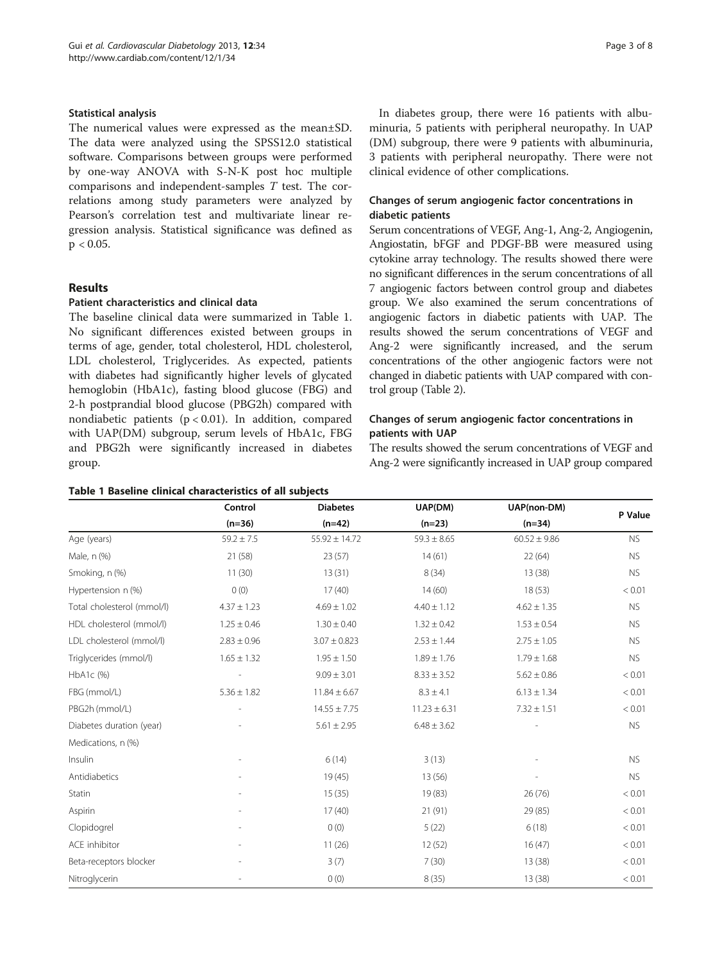### Statistical analysis

The numerical values were expressed as the mean±SD. The data were analyzed using the SPSS12.0 statistical software. Comparisons between groups were performed by one-way ANOVA with S-N-K post hoc multiple comparisons and independent-samples T test. The correlations among study parameters were analyzed by Pearson's correlation test and multivariate linear regression analysis. Statistical significance was defined as  $p < 0.05$ .

# Results

# Patient characteristics and clinical data

The baseline clinical data were summarized in Table 1. No significant differences existed between groups in terms of age, gender, total cholesterol, HDL cholesterol, LDL cholesterol, Triglycerides. As expected, patients with diabetes had significantly higher levels of glycated hemoglobin (HbA1c), fasting blood glucose (FBG) and 2-h postprandial blood glucose (PBG2h) compared with nondiabetic patients  $(p < 0.01)$ . In addition, compared with UAP(DM) subgroup, serum levels of HbA1c, FBG and PBG2h were significantly increased in diabetes group.

|  |  |  |  | Table 1 Baseline clinical characteristics of all subjects |  |  |  |
|--|--|--|--|-----------------------------------------------------------|--|--|--|
|--|--|--|--|-----------------------------------------------------------|--|--|--|

In diabetes group, there were 16 patients with albuminuria, 5 patients with peripheral neuropathy. In UAP (DM) subgroup, there were 9 patients with albuminuria, 3 patients with peripheral neuropathy. There were not clinical evidence of other complications.

# Changes of serum angiogenic factor concentrations in diabetic patients

Serum concentrations of VEGF, Ang-1, Ang-2, Angiogenin, Angiostatin, bFGF and PDGF-BB were measured using cytokine array technology. The results showed there were no significant differences in the serum concentrations of all 7 angiogenic factors between control group and diabetes group. We also examined the serum concentrations of angiogenic factors in diabetic patients with UAP. The results showed the serum concentrations of VEGF and Ang-2 were significantly increased, and the serum concentrations of the other angiogenic factors were not changed in diabetic patients with UAP compared with control group (Table [2](#page-3-0)).

# Changes of serum angiogenic factor concentrations in patients with UAP

The results showed the serum concentrations of VEGF and Ang-2 were significantly increased in UAP group compared

|                            | Control         | <b>Diabetes</b>   | UAP(DM)          | UAP(non-DM)      |           |
|----------------------------|-----------------|-------------------|------------------|------------------|-----------|
|                            | $(n=36)$        | $(n=42)$          | $(n=23)$         | $(n=34)$         | P Value   |
| Age (years)                | $59.2 \pm 7.5$  | $55.92 \pm 14.72$ | $59.3 \pm 8.65$  | $60.52 \pm 9.86$ | <b>NS</b> |
| Male, n (%)                | 21(58)          | 23(57)            | 14(61)           | 22(64)           | <b>NS</b> |
| Smoking, n (%)             | 11(30)          | 13(31)            | 8(34)            | 13 (38)          | <b>NS</b> |
| Hypertension n (%)         | O(0)            | 17(40)            | 14(60)           | 18(53)           | < 0.01    |
| Total cholesterol (mmol/l) | $4.37 \pm 1.23$ | $4.69 \pm 1.02$   | $4.40 \pm 1.12$  | $4.62 \pm 1.35$  | <b>NS</b> |
| HDL cholesterol (mmol/l)   | $1.25 \pm 0.46$ | $1.30 \pm 0.40$   | $1.32 \pm 0.42$  | $1.53 \pm 0.54$  | <b>NS</b> |
| LDL cholesterol (mmol/l)   | $2.83 \pm 0.96$ | $3.07 \pm 0.823$  | $2.53 \pm 1.44$  | $2.75 \pm 1.05$  | <b>NS</b> |
| Triglycerides (mmol/l)     | $1.65 \pm 1.32$ | $1.95 \pm 1.50$   | $1.89 \pm 1.76$  | $1.79 \pm 1.68$  | <b>NS</b> |
| HbA1c (%)                  |                 | $9.09 \pm 3.01$   | $8.33 \pm 3.52$  | $5.62 \pm 0.86$  | < 0.01    |
| FBG (mmol/L)               | $5.36 \pm 1.82$ | $11.84 \pm 6.67$  | $8.3 \pm 4.1$    | $6.13 \pm 1.34$  | < 0.01    |
| PBG2h (mmol/L)             |                 | $14.55 \pm 7.75$  | $11.23 \pm 6.31$ | $7.32 \pm 1.51$  | < 0.01    |
| Diabetes duration (year)   |                 | $5.61 \pm 2.95$   | $6.48 \pm 3.62$  |                  | <b>NS</b> |
| Medications, n (%)         |                 |                   |                  |                  |           |
| Insulin                    |                 | 6(14)             | 3(13)            |                  | <b>NS</b> |
| Antidiabetics              |                 | 19(45)            | 13(56)           |                  | <b>NS</b> |
| Statin                     |                 | 15(35)            | 19(83)           | 26(76)           | < 0.01    |
| Aspirin                    |                 | 17(40)            | 21(91)           | 29 (85)          | < 0.01    |
| Clopidogrel                |                 | 0(0)              | 5(22)            | 6(18)            | < 0.01    |
| <b>ACE</b> inhibitor       |                 | 11(26)            | 12(52)           | 16(47)           | < 0.01    |
| Beta-receptors blocker     |                 | 3(7)              | 7(30)            | 13(38)           | < 0.01    |
| Nitroglycerin              |                 | 0(0)              | 8(35)            | 13 (38)          | < 0.01    |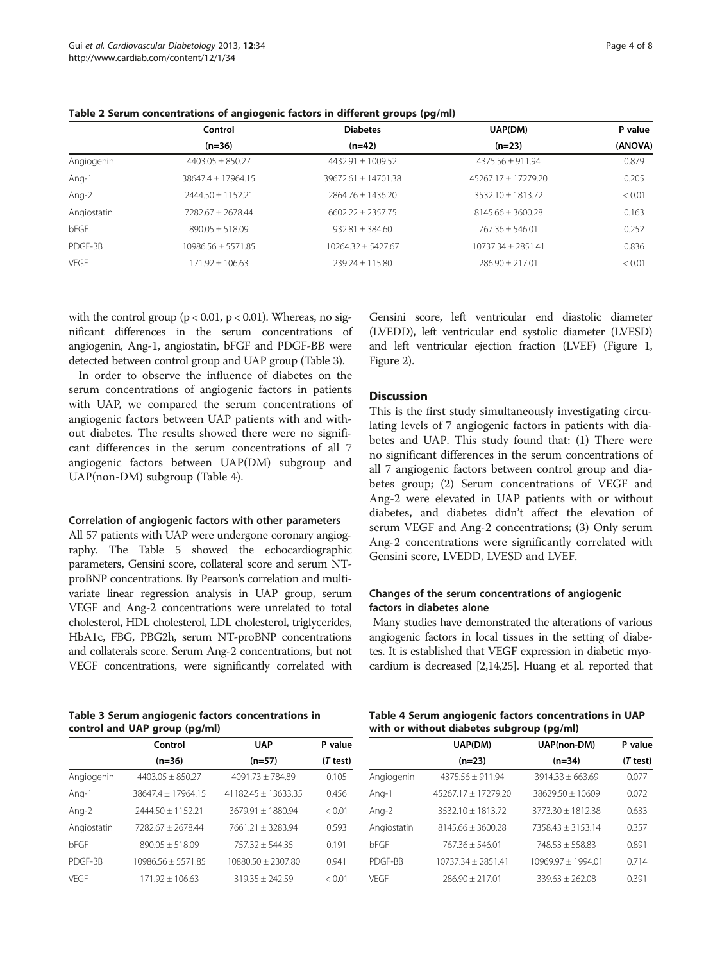|             | Control              | <b>Diabetes</b>      | UAP(DM)               | P value |
|-------------|----------------------|----------------------|-----------------------|---------|
|             | $(n=36)$             | $(n=42)$             | $(n=23)$              | (ANOVA) |
| Angiogenin  | $4403.05 + 850.27$   | $4432.91 + 1009.52$  | $4375.56 + 911.94$    | 0.879   |
| Ang-1       | 38647.4 + 17964.15   | 39672.61 + 14701.38  | $45267.17 + 17279.20$ | 0.205   |
| Ang-2       | $2444.50 + 1152.21$  | $2864.76 + 1436.20$  | $3532.10 + 1813.72$   | < 0.01  |
| Angiostatin | $7282.67 + 2678.44$  | $6602.22 + 2357.75$  | $8145.66 + 3600.28$   | 0.163   |
| bFGF        | $890.05 + 518.09$    | $932.81 \pm 384.60$  | $767.36 + 546.01$     | 0.252   |
| PDGF-BB     | $10986.56 + 5571.85$ | $10264.32 + 5427.67$ | 10737.34 + 2851.41    | 0.836   |
| VFGF        | $171.92 + 106.63$    | $239.24 + 115.80$    | $286.90 + 217.01$     | < 0.01  |

<span id="page-3-0"></span>Table 2 Serum concentrations of angiogenic factors in different groups (pg/ml)

with the control group ( $p < 0.01$ ,  $p < 0.01$ ). Whereas, no significant differences in the serum concentrations of angiogenin, Ang-1, angiostatin, bFGF and PDGF-BB were detected between control group and UAP group (Table 3).

In order to observe the influence of diabetes on the serum concentrations of angiogenic factors in patients with UAP, we compared the serum concentrations of angiogenic factors between UAP patients with and without diabetes. The results showed there were no significant differences in the serum concentrations of all 7 angiogenic factors between UAP(DM) subgroup and UAP(non-DM) subgroup (Table 4).

#### Correlation of angiogenic factors with other parameters

All 57 patients with UAP were undergone coronary angiography. The Table [5](#page-4-0) showed the echocardiographic parameters, Gensini score, collateral score and serum NTproBNP concentrations. By Pearson's correlation and multivariate linear regression analysis in UAP group, serum VEGF and Ang-2 concentrations were unrelated to total cholesterol, HDL cholesterol, LDL cholesterol, triglycerides, HbA1c, FBG, PBG2h, serum NT-proBNP concentrations and collaterals score. Serum Ang-2 concentrations, but not VEGF concentrations, were significantly correlated with

Gensini score, left ventricular end diastolic diameter (LVEDD), left ventricular end systolic diameter (LVESD) and left ventricular ejection fraction (LVEF) (Figure [1](#page-4-0), Figure [2\)](#page-5-0).

# **Discussion**

This is the first study simultaneously investigating circulating levels of 7 angiogenic factors in patients with diabetes and UAP. This study found that: (1) There were no significant differences in the serum concentrations of all 7 angiogenic factors between control group and diabetes group; (2) Serum concentrations of VEGF and Ang-2 were elevated in UAP patients with or without diabetes, and diabetes didn't affect the elevation of serum VEGF and Ang-2 concentrations; (3) Only serum Ang-2 concentrations were significantly correlated with Gensini score, LVEDD, LVESD and LVEF.

# Changes of the serum concentrations of angiogenic factors in diabetes alone

Many studies have demonstrated the alterations of various angiogenic factors in local tissues in the setting of diabetes. It is established that VEGF expression in diabetic myocardium is decreased [\[2,14](#page-6-0)[,25](#page-7-0)]. Huang et al. reported that

Table 3 Serum angiogenic factors concentrations in control and UAP group (pg/ml)

|  | Table 4 Serum angiogenic factors concentrations in UAP |  |  |  |
|--|--------------------------------------------------------|--|--|--|
|  | with or without diabetes subgroup (pg/ml)              |  |  |  |

|             | Control             | <b>UAP</b>            | P value  |
|-------------|---------------------|-----------------------|----------|
|             | $(n=36)$            | $(n=57)$              | (T test) |
| Angiogenin  | $4403.05 + 850.27$  | $4091.73 + 784.89$    | 0.105    |
| Ang-1       | 38647.4 + 17964.15  | $41182.45 + 13633.35$ | 0.456    |
| Ang-2       | $2444.50 + 1152.21$ | $3679.91 + 1880.94$   | < 0.01   |
| Angiostatin | 7282.67 + 2678.44   | 7661.21 + 3283.94     | 0.593    |
| bFGF        | $890.05 + 518.09$   | $757.32 + 544.35$     | 0.191    |
| PDGF-BB     | 10986.56 + 5571.85  | 10880.50 + 2307.80    | 0.941    |
| VFGF        | $171.92 + 106.63$   | $319.35 + 242.59$     | < 0.01   |
|             |                     |                       |          |

|             | UAP(DM)               | UAP(non-DM)          | P value  |
|-------------|-----------------------|----------------------|----------|
|             | $(n=23)$              | $(n=34)$             | (T test) |
| Angiogenin  | $4375.56 \pm 911.94$  | $3914.33 \pm 663.69$ | 0.077    |
| Ang-1       | $45267.17 + 17279.20$ | $38629.50 + 10609$   | 0.072    |
| Ang-2       | $3532.10 + 1813.72$   | $3773.30 + 1812.38$  | 0.633    |
| Angiostatin | $8145.66 + 3600.28$   | $7358.43 + 3153.14$  | 0.357    |
| bFGF        | $767.36 + 546.01$     | 748.53 + 558.83      | 0.891    |
| PDGF-BB     | $10737.34 + 2851.41$  | 10969.97 ± 1994.01   | 0.714    |
| VFGF        | $286.90 \pm 217.01$   | $339.63 \pm 262.08$  | 0.391    |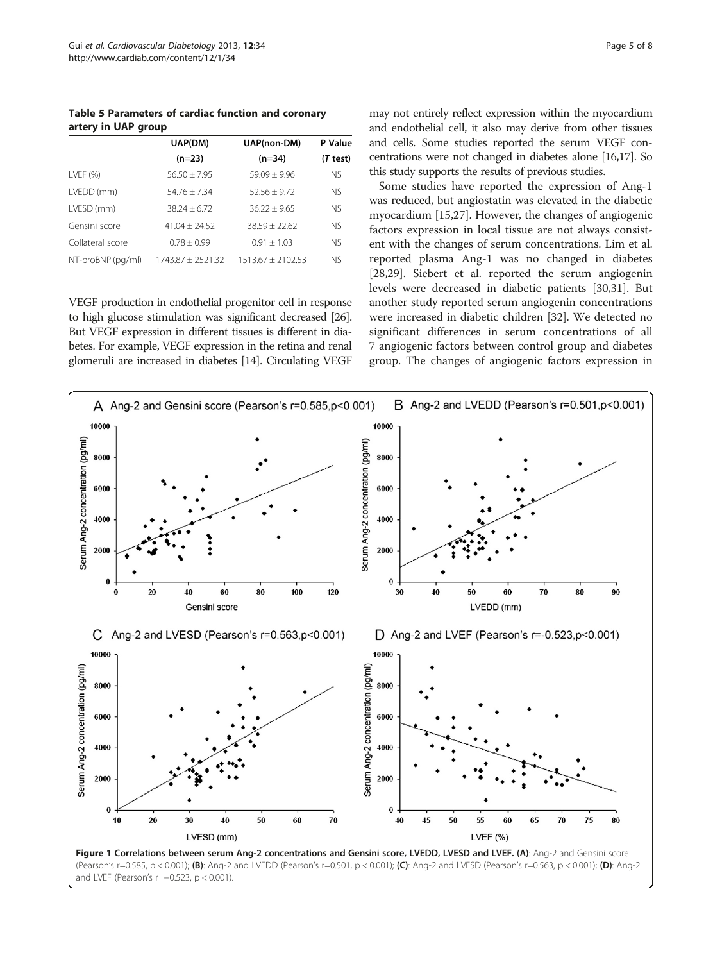<span id="page-4-0"></span>Table 5 Parameters of cardiac function and coronary artery in UAP group

|                   | UAP(DM)             | UAP(non-DM)         | P Value   |
|-------------------|---------------------|---------------------|-----------|
|                   | $(n=23)$            | $(n=34)$            | (T test)  |
| $LVEF$ (%)        | $56.50 + 7.95$      | $59.09 + 9.96$      | <b>NS</b> |
| LVEDD (mm)        | $54.76 + 7.34$      | $52.56 + 9.72$      | <b>NS</b> |
| LVESD (mm)        | $38.24 + 6.72$      | $36.22 + 9.65$      | <b>NS</b> |
| Gensini score     | $41.04 + 24.52$     | $38.59 \pm 22.62$   | <b>NS</b> |
| Collateral score  | $0.78 + 0.99$       | $0.91 + 1.03$       | <b>NS</b> |
| NT-proBNP (pg/ml) | $1743.87 + 2521.32$ | $1513.67 + 2102.53$ | Nς        |

VEGF production in endothelial progenitor cell in response to high glucose stimulation was significant decreased [\[26](#page-7-0)]. But VEGF expression in different tissues is different in diabetes. For example, VEGF expression in the retina and renal glomeruli are increased in diabetes [\[14](#page-6-0)]. Circulating VEGF may not entirely reflect expression within the myocardium and endothelial cell, it also may derive from other tissues and cells. Some studies reported the serum VEGF concentrations were not changed in diabetes alone [\[16,17](#page-7-0)]. So this study supports the results of previous studies.

Some studies have reported the expression of Ang-1 was reduced, but angiostatin was elevated in the diabetic myocardium [\[15](#page-6-0)[,27\]](#page-7-0). However, the changes of angiogenic factors expression in local tissue are not always consistent with the changes of serum concentrations. Lim et al. reported plasma Ang-1 was no changed in diabetes [[28,29\]](#page-7-0). Siebert et al. reported the serum angiogenin levels were decreased in diabetic patients [\[30,31\]](#page-7-0). But another study reported serum angiogenin concentrations were increased in diabetic children [[32](#page-7-0)]. We detected no significant differences in serum concentrations of all 7 angiogenic factors between control group and diabetes group. The changes of angiogenic factors expression in

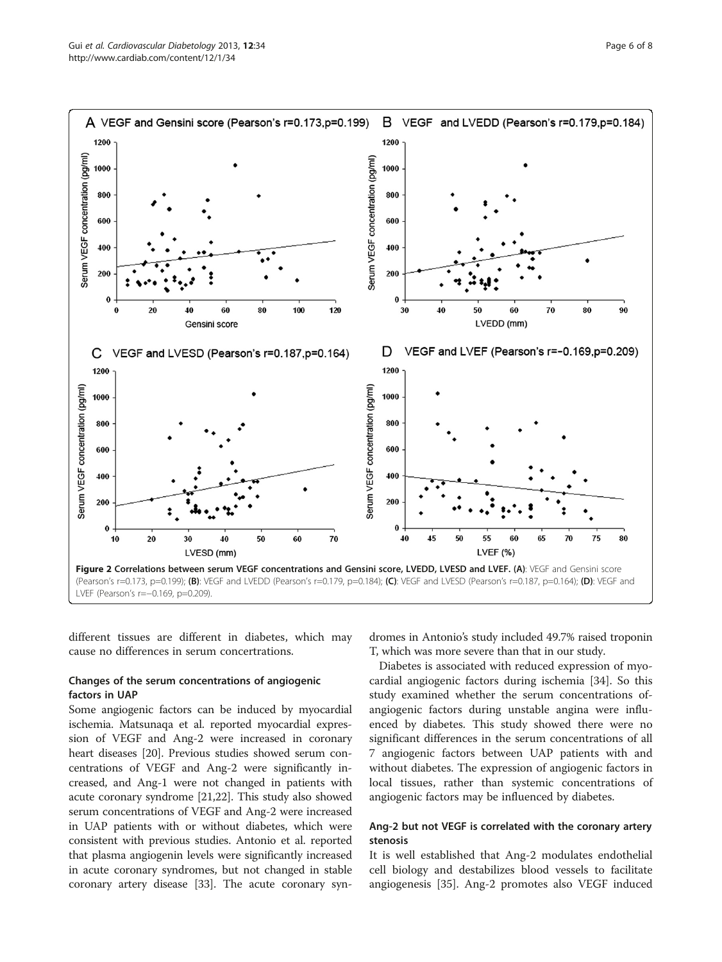<span id="page-5-0"></span>

different tissues are different in diabetes, which may cause no differences in serum concertrations.

# Changes of the serum concentrations of angiogenic factors in UAP

Some angiogenic factors can be induced by myocardial ischemia. Matsunaqa et al. reported myocardial expression of VEGF and Ang-2 were increased in coronary heart diseases [\[20\]](#page-7-0). Previous studies showed serum concentrations of VEGF and Ang-2 were significantly increased, and Ang-1 were not changed in patients with acute coronary syndrome [\[21,22](#page-7-0)]. This study also showed serum concentrations of VEGF and Ang-2 were increased in UAP patients with or without diabetes, which were consistent with previous studies. Antonio et al. reported that plasma angiogenin levels were significantly increased in acute coronary syndromes, but not changed in stable coronary artery disease [\[33](#page-7-0)]. The acute coronary syndromes in Antonio's study included 49.7% raised troponin T, which was more severe than that in our study.

Diabetes is associated with reduced expression of myocardial angiogenic factors during ischemia [[34\]](#page-7-0). So this study examined whether the serum concentrations ofangiogenic factors during unstable angina were influenced by diabetes. This study showed there were no significant differences in the serum concentrations of all 7 angiogenic factors between UAP patients with and without diabetes. The expression of angiogenic factors in local tissues, rather than systemic concentrations of angiogenic factors may be influenced by diabetes.

# Ang-2 but not VEGF is correlated with the coronary artery stenosis

It is well established that Ang-2 modulates endothelial cell biology and destabilizes blood vessels to facilitate angiogenesis [[35](#page-7-0)]. Ang-2 promotes also VEGF induced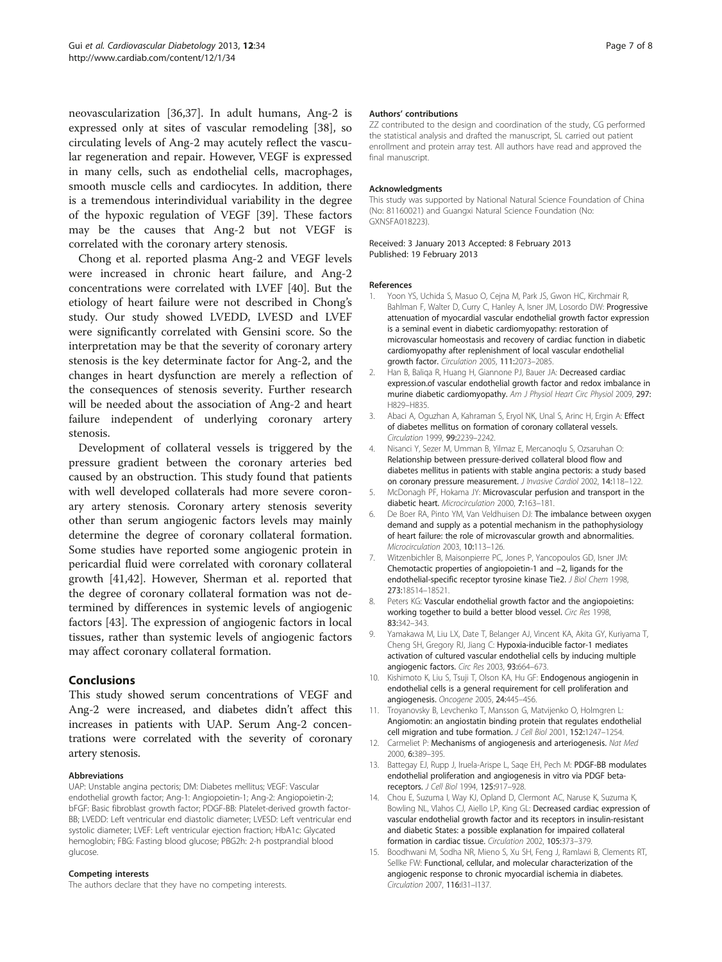<span id="page-6-0"></span>neovascularization [[36,37\]](#page-7-0). In adult humans, Ang-2 is expressed only at sites of vascular remodeling [[38\]](#page-7-0), so circulating levels of Ang-2 may acutely reflect the vascular regeneration and repair. However, VEGF is expressed in many cells, such as endothelial cells, macrophages, smooth muscle cells and cardiocytes. In addition, there is a tremendous interindividual variability in the degree of the hypoxic regulation of VEGF [\[39](#page-7-0)]. These factors may be the causes that Ang-2 but not VEGF is correlated with the coronary artery stenosis.

Chong et al. reported plasma Ang-2 and VEGF levels were increased in chronic heart failure, and Ang-2 concentrations were correlated with LVEF [\[40](#page-7-0)]. But the etiology of heart failure were not described in Chong's study. Our study showed LVEDD, LVESD and LVEF were significantly correlated with Gensini score. So the interpretation may be that the severity of coronary artery stenosis is the key determinate factor for Ang-2, and the changes in heart dysfunction are merely a reflection of the consequences of stenosis severity. Further research will be needed about the association of Ang-2 and heart failure independent of underlying coronary artery stenosis.

Development of collateral vessels is triggered by the pressure gradient between the coronary arteries bed caused by an obstruction. This study found that patients with well developed collaterals had more severe coronary artery stenosis. Coronary artery stenosis severity other than serum angiogenic factors levels may mainly determine the degree of coronary collateral formation. Some studies have reported some angiogenic protein in pericardial fluid were correlated with coronary collateral growth [\[41,42](#page-7-0)]. However, Sherman et al. reported that the degree of coronary collateral formation was not determined by differences in systemic levels of angiogenic factors [\[43\]](#page-7-0). The expression of angiogenic factors in local tissues, rather than systemic levels of angiogenic factors may affect coronary collateral formation.

# Conclusions

This study showed serum concentrations of VEGF and Ang-2 were increased, and diabetes didn't affect this increases in patients with UAP. Serum Ang-2 concentrations were correlated with the severity of coronary artery stenosis.

#### Abbreviations

UAP: Unstable angina pectoris; DM: Diabetes mellitus; VEGF: Vascular endothelial growth factor; Ang-1: Angiopoietin-1; Ang-2: Angiopoietin-2; bFGF: Basic fibroblast growth factor; PDGF-BB: Platelet-derived growth factor-BB; LVEDD: Left ventricular end diastolic diameter; LVESD: Left ventricular end systolic diameter; LVEF: Left ventricular ejection fraction; HbA1c: Glycated hemoglobin; FBG: Fasting blood glucose; PBG2h: 2-h postprandial blood glucose.

#### Competing interests

The authors declare that they have no competing interests.

#### Authors' contributions

ZZ contributed to the design and coordination of the study, CG performed the statistical analysis and drafted the manuscript, SL carried out patient enrollment and protein array test. All authors have read and approved the final manuscript.

#### Acknowledgments

This study was supported by National Natural Science Foundation of China (No: 81160021) and Guangxi Natural Science Foundation (No: GXNSFA018223).

Received: 3 January 2013 Accepted: 8 February 2013 Published: 19 February 2013

#### References

- 1. Yoon YS, Uchida S, Masuo O, Cejna M, Park JS, Gwon HC, Kirchmair R, Bahlman F, Walter D, Curry C, Hanley A, Isner JM, Losordo DW: Progressive attenuation of myocardial vascular endothelial growth factor expression is a seminal event in diabetic cardiomyopathy: restoration of microvascular homeostasis and recovery of cardiac function in diabetic cardiomyopathy after replenishment of local vascular endothelial growth factor. Circulation 2005, 111:2073–2085.
- 2. Han B, Baliga R, Huang H, Giannone PJ, Bauer JA: Decreased cardiac expression.of vascular endothelial growth factor and redox imbalance in murine diabetic cardiomyopathy. Am J Physiol Heart Circ Physiol 2009, 297: H829–H835.
- 3. Abaci A, Oguzhan A, Kahraman S, Eryol NK, Unal S, Arinc H, Ergin A: Effect of diabetes mellitus on formation of coronary collateral vessels. Circulation 1999, 99:2239–2242.
- 4. Nisanci Y, Sezer M, Umman B, Yilmaz E, Mercanoqlu S, Ozsaruhan O: Relationship between pressure-derived collateral blood flow and diabetes mellitus in patients with stable angina pectoris: a study based on coronary pressure measurement. J Invasive Cardiol 2002, 14:118–122.
- 5. McDonagh PF, Hokama JY: Microvascular perfusion and transport in the diabetic heart. Microcirculation 2000, 7:163–181.
- 6. De Boer RA, Pinto YM, Van Veldhuisen DJ: The imbalance between oxygen demand and supply as a potential mechanism in the pathophysiology of heart failure: the role of microvascular growth and abnormalities. Microcirculation 2003, 10:113–126.
- 7. Witzenbichler B, Maisonpierre PC, Jones P, Yancopoulos GD, Isner JM: Chemotactic properties of angiopoietin-1 and −2, ligands for the endothelial-specific receptor tyrosine kinase Tie2. J Biol Chem 1998, 273:18514–18521.
- 8. Peters KG: Vascular endothelial growth factor and the angiopoietins: working together to build a better blood vessel. Circ Res 1998, 83:342–343.
- 9. Yamakawa M, Liu LX, Date T, Belanger AJ, Vincent KA, Akita GY, Kuriyama T, Cheng SH, Gregory RJ, Jiang C: Hypoxia-inducible factor-1 mediates activation of cultured vascular endothelial cells by inducing multiple angiogenic factors. Circ Res 2003, 93:664–673.
- 10. Kishimoto K, Liu S, Tsuji T, Olson KA, Hu GF: Endogenous angiogenin in endothelial cells is a general requirement for cell proliferation and angiogenesis. Oncogene 2005, 24:445–456.
- 11. Troyanovsky B, Levchenko T, Mansson G, Matvijenko O, Holmgren L: Angiomotin: an angiostatin binding protein that regulates endothelial cell migration and tube formation. J Cell Biol 2001, 152:1247–1254.
- 12. Carmeliet P: Mechanisms of angiogenesis and arteriogenesis. Nat Med 2000, 6:389–395.
- 13. Battegay EJ, Rupp J, Iruela-Arispe L, Saqe EH, Pech M: PDGF-BB modulates endothelial proliferation and angiogenesis in vitro via PDGF betareceptors. J Cell Biol 1994, 125:917–928.
- 14. Chou E, Suzuma I, Way KJ, Opland D, Clermont AC, Naruse K, Suzuma K, Bowling NL, Vlahos CJ, Aiello LP, King GL: Decreased cardiac expression of vascular endothelial growth factor and its receptors in insulin-resistant and diabetic States: a possible explanation for impaired collateral formation in cardiac tissue. Circulation 2002, 105:373–379.
- 15. Boodhwani M, Sodha NR, Mieno S, Xu SH, Feng J, Ramlawi B, Clements RT, Sellke FW: Functional, cellular, and molecular characterization of the angiogenic response to chronic myocardial ischemia in diabetes. Circulation 2007, 116:I31–I137.